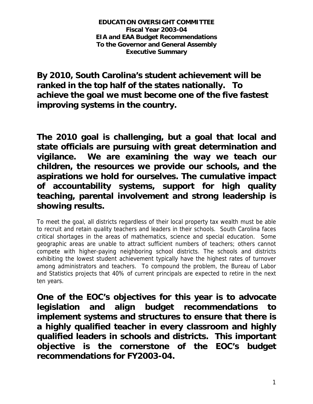**EDUCATION OVERSIGHT COMMITTEE Fiscal Year 2003-04 EIA and EAA Budget Recommendations To the Governor and General Assembly Executive Summary** 

**By 2010, South Carolina's student achievement will be ranked in the top half of the states nationally. To achieve the goal we must become one of the five fastest improving systems in the country.** 

**The 2010 goal is challenging, but a goal that local and state officials are pursuing with great determination and vigilance. We are examining the way we teach our children, the resources we provide our schools, and the aspirations we hold for ourselves. The cumulative impact of accountability systems, support for high quality teaching, parental involvement and strong leadership is showing results.** 

To meet the goal, all districts regardless of their local property tax wealth must be able to recruit and retain quality teachers and leaders in their schools. South Carolina faces critical shortages in the areas of mathematics, science and special education. Some geographic areas are unable to attract sufficient numbers of teachers; others cannot compete with higher-paying neighboring school districts. The schools and districts exhibiting the lowest student achievement typically have the highest rates of turnover among administrators and teachers. To compound the problem, the Bureau of Labor and Statistics projects that 40% of current principals are expected to retire in the next ten years.

**One of the EOC's objectives for this year is to advocate legislation and align budget recommendations to implement systems and structures to ensure that there is a highly qualified teacher in every classroom and highly qualified leaders in schools and districts. This important objective is the cornerstone of the EOC's budget recommendations for FY2003-04.**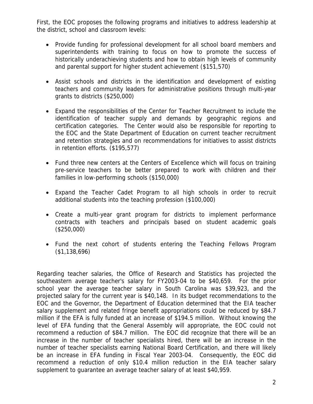First, the EOC proposes the following programs and initiatives to address leadership at the district, school and classroom levels:

- Provide funding for professional development for all school board members and superintendents with training to focus on how to promote the success of historically underachieving students and how to obtain high levels of community and parental support for higher student achievement (\$151,570)
- Assist schools and districts in the identification and development of existing teachers and community leaders for administrative positions through multi-year grants to districts (\$250,000)
- Expand the responsibilities of the Center for Teacher Recruitment to include the identification of teacher supply and demands by geographic regions and certification categories. The Center would also be responsible for reporting to the EOC and the State Department of Education on current teacher recruitment and retention strategies and on recommendations for initiatives to assist districts in retention efforts. (\$195,577)
- Fund three new centers at the Centers of Excellence which will focus on training pre-service teachers to be better prepared to work with children and their families in low-performing schools (\$150,000)
- Expand the Teacher Cadet Program to all high schools in order to recruit additional students into the teaching profession (\$100,000)
- Create a multi-year grant program for districts to implement performance contracts with teachers and principals based on student academic goals (\$250,000)
- Fund the next cohort of students entering the Teaching Fellows Program (\$1,138,696)

Regarding teacher salaries, the Office of Research and Statistics has projected the southeastern average teacher's salary for FY2003-04 to be \$40,659. For the prior school year the average teacher salary in South Carolina was \$39,923, and the projected salary for the current year is \$40,148. In its budget recommendations to the EOC and the Governor, the Department of Education determined that the EIA teacher salary supplement and related fringe benefit appropriations could be reduced by \$84.7 million if the EFA is fully funded at an increase of \$194.5 million. Without knowing the level of EFA funding that the General Assembly will appropriate, the EOC could not recommend a reduction of \$84.7 million. The EOC did recognize that there will be an increase in the number of teacher specialists hired, there will be an increase in the number of teacher specialists earning National Board Certification, and there will likely be an increase in EFA funding in Fiscal Year 2003-04. Consequently, the EOC did recommend a reduction of only \$10.4 million reduction in the EIA teacher salary supplement to guarantee an average teacher salary of at least \$40,959.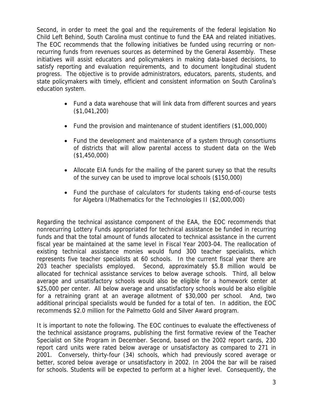Second, in order to meet the goal and the requirements of the federal legislation No Child Left Behind, South Carolina must continue to fund the EAA and related initiatives. The EOC recommends that the following initiatives be funded using recurring or nonrecurring funds from revenues sources as determined by the General Assembly. These initiatives will assist educators and policymakers in making data-based decisions, to satisfy reporting and evaluation requirements, and to document longitudinal student progress. The objective is to provide administrators, educators, parents, students, and state policymakers with timely, efficient and consistent information on South Carolina's education system.

- Fund a data warehouse that will link data from different sources and years (\$1,041,200)
- Fund the provision and maintenance of student identifiers (\$1,000,000)
- Fund the development and maintenance of a system through consortiums of districts that will allow parental access to student data on the Web (\$1,450,000)
- Allocate EIA funds for the mailing of the parent survey so that the results of the survey can be used to improve local schools (\$150,000)
- Fund the purchase of calculators for students taking end-of-course tests for Algebra I/Mathematics for the Technologies II (\$2,000,000)

Regarding the technical assistance component of the EAA, the EOC recommends that nonrecurring Lottery Funds appropriated for technical assistance be funded in recurring funds and that the total amount of funds allocated to technical assistance in the current fiscal year be maintained at the same level in Fiscal Year 2003-04. The reallocation of existing technical assistance monies would fund 300 teacher specialists, which represents five teacher specialists at 60 schools. In the current fiscal year there are 203 teacher specialists employed. Second, approximately \$5.8 million would be allocated for technical assistance services to below average schools. Third, all below average and unsatisfactory schools would also be eligible for a homework center at \$25,000 per center. All below average and unsatisfactory schools would be also eligible for a retraining grant at an average allotment of \$30,000 per school. And, two additional principal specialists would be funded for a total of ten. In addition, the EOC recommends \$2.0 million for the Palmetto Gold and Silver Award program.

It is important to note the following. The EOC continues to evaluate the effectiveness of the technical assistance programs, publishing the first formative review of the Teacher Specialist on Site Program in December. Second, based on the 2002 report cards, 230 report card units were rated below average or unsatisfactory as compared to 271 in 2001. Conversely, thirty-four (34) schools, which had previously scored average or better, scored below average or unsatisfactory in 2002. In 2004 the bar will be raised for schools. Students will be expected to perform at a higher level. Consequently, the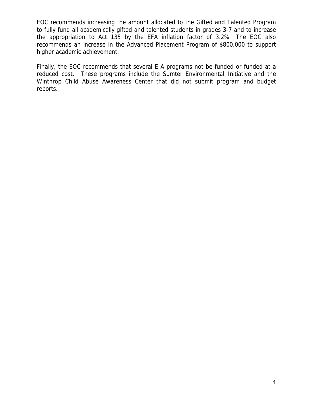EOC recommends increasing the amount allocated to the Gifted and Talented Program to fully fund all academically gifted and talented students in grades 3-7 and to increase the appropriation to Act 135 by the EFA inflation factor of 3.2%. The EOC also recommends an increase in the Advanced Placement Program of \$800,000 to support higher academic achievement.

Finally, the EOC recommends that several EIA programs not be funded or funded at a reduced cost. These programs include the Sumter Environmental Initiative and the Winthrop Child Abuse Awareness Center that did not submit program and budget reports.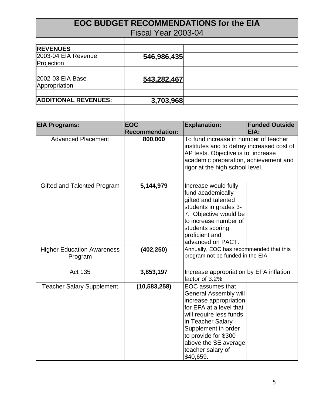| <b>EOC BUDGET RECOMMENDATIONS for the EIA</b> |                        |                                            |                               |
|-----------------------------------------------|------------------------|--------------------------------------------|-------------------------------|
|                                               | Fiscal Year 2003-04    |                                            |                               |
|                                               |                        |                                            |                               |
| <b>REVENUES</b>                               |                        |                                            |                               |
| 2003-04 EIA Revenue                           | 546,986,435            |                                            |                               |
| Projection                                    |                        |                                            |                               |
| 2002-03 EIA Base                              | 543,282,467            |                                            |                               |
| Appropriation                                 |                        |                                            |                               |
|                                               |                        |                                            |                               |
| <b>ADDITIONAL REVENUES:</b>                   | 3,703,968              |                                            |                               |
|                                               |                        |                                            |                               |
|                                               | <b>EOC</b>             |                                            |                               |
| <b>EIA Programs:</b>                          | <b>Recommendation:</b> | <b>Explanation:</b>                        | <b>Funded Outside</b><br>EIA: |
| <b>Advanced Placement</b>                     | 800,000                | To fund increase in number of teacher      |                               |
|                                               |                        | institutes and to defray increased cost of |                               |
|                                               |                        | AP tests. Objective is to increase         |                               |
|                                               |                        | academic preparation, achievement and      |                               |
|                                               |                        | rigor at the high school level.            |                               |
|                                               |                        |                                            |                               |
| Gifted and Talented Program                   | 5,144,979              | Increase would fully                       |                               |
|                                               |                        | fund academically                          |                               |
|                                               |                        | gifted and talented                        |                               |
|                                               |                        | students in grades 3-                      |                               |
|                                               |                        | 7. Objective would be                      |                               |
|                                               |                        | to increase number of                      |                               |
|                                               |                        | students scoring                           |                               |
|                                               |                        | proficient and                             |                               |
|                                               |                        | advanced on PACT.                          |                               |
|                                               |                        | Annually, EOC has recommended that this    |                               |
| <b>Higher Education Awareness</b>             | (402, 250)             | program not be funded in the EIA.          |                               |
| Program                                       |                        |                                            |                               |
| Act 135                                       | 3,853,197              | Increase appropriation by EFA inflation    |                               |
|                                               |                        | factor of 3.2%                             |                               |
| <b>Teacher Salary Supplement</b>              | (10, 583, 258)         | EOC assumes that                           |                               |
|                                               |                        | General Assembly will                      |                               |
|                                               |                        | increase appropriation                     |                               |
|                                               |                        | for EFA at a level that                    |                               |
|                                               |                        | will require less funds                    |                               |
|                                               |                        | in Teacher Salary                          |                               |
|                                               |                        | Supplement in order                        |                               |
|                                               |                        | to provide for \$300                       |                               |
|                                               |                        | above the SE average                       |                               |
|                                               |                        | teacher salary of                          |                               |
|                                               |                        | \$40,659.                                  |                               |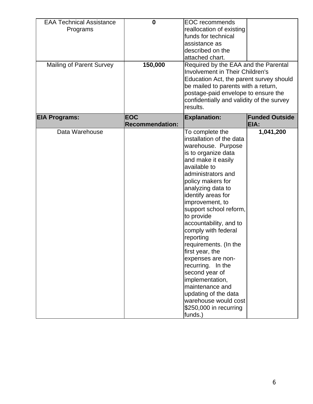| <b>EAA Technical Assistance</b><br>Programs<br><b>Mailing of Parent Survey</b> | $\bf{0}$<br>150,000                  | <b>EOC</b> recommends<br>reallocation of existing<br>funds for technical<br>assistance as<br>described on the<br>attached chart.<br>Required by the EAA and the Parental<br>Involvement in Their Children's                                                                                                                                                                                                                                                                                                                                                                      |                               |
|--------------------------------------------------------------------------------|--------------------------------------|----------------------------------------------------------------------------------------------------------------------------------------------------------------------------------------------------------------------------------------------------------------------------------------------------------------------------------------------------------------------------------------------------------------------------------------------------------------------------------------------------------------------------------------------------------------------------------|-------------------------------|
|                                                                                |                                      | Education Act, the parent survey should<br>be mailed to parents with a return,<br>postage-paid envelope to ensure the<br>confidentially and validity of the survey<br>results.                                                                                                                                                                                                                                                                                                                                                                                                   |                               |
| <b>EIA Programs:</b>                                                           | <b>EOC</b><br><b>Recommendation:</b> | <b>Explanation:</b>                                                                                                                                                                                                                                                                                                                                                                                                                                                                                                                                                              | <b>Funded Outside</b><br>EIA: |
| Data Warehouse                                                                 |                                      | To complete the<br>installation of the data<br>warehouse. Purpose<br>is to organize data<br>and make it easily<br>available to<br>administrators and<br>policy makers for<br>analyzing data to<br>identify areas for<br>improvement, to<br>support school reform,<br>to provide<br>accountability, and to<br>comply with federal<br>reporting<br>requirements. (In the<br>first year, the<br>expenses are non-<br>recurring. In the<br>second year of<br>implementation,<br>maintenance and<br>updating of the data<br>warehouse would cost<br>\$250,000 in recurring<br>funds.) | 1,041,200                     |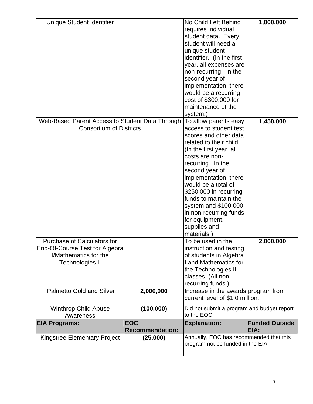| Unique Student Identifier                       |                        | No Child Left Behind                                                   | 1,000,000             |
|-------------------------------------------------|------------------------|------------------------------------------------------------------------|-----------------------|
|                                                 |                        | requires individual                                                    |                       |
|                                                 |                        | student data. Every                                                    |                       |
|                                                 |                        | student will need a                                                    |                       |
|                                                 |                        | unique student                                                         |                       |
|                                                 |                        | identifier. (In the first                                              |                       |
|                                                 |                        | year, all expenses are                                                 |                       |
|                                                 |                        | non-recurring. In the                                                  |                       |
|                                                 |                        | second year of                                                         |                       |
|                                                 |                        | implementation, there                                                  |                       |
|                                                 |                        | would be a recurring                                                   |                       |
|                                                 |                        | cost of \$300,000 for                                                  |                       |
|                                                 |                        | maintenance of the                                                     |                       |
|                                                 |                        | system.)                                                               |                       |
| Web-Based Parent Access to Student Data Through |                        | To allow parents easy                                                  | 1,450,000             |
| <b>Consortium of Districts</b>                  |                        | access to student test                                                 |                       |
|                                                 |                        | scores and other data                                                  |                       |
|                                                 |                        | related to their child.                                                |                       |
|                                                 |                        | (In the first year, all                                                |                       |
|                                                 |                        | costs are non-                                                         |                       |
|                                                 |                        | recurring. In the                                                      |                       |
|                                                 |                        | second year of                                                         |                       |
|                                                 |                        | implementation, there                                                  |                       |
|                                                 |                        | would be a total of                                                    |                       |
|                                                 |                        | \$250,000 in recurring                                                 |                       |
|                                                 |                        | funds to maintain the                                                  |                       |
|                                                 |                        | system and \$100,000                                                   |                       |
|                                                 |                        | in non-recurring funds                                                 |                       |
|                                                 |                        | for equipment,                                                         |                       |
|                                                 |                        | supplies and                                                           |                       |
|                                                 |                        | materials.)                                                            |                       |
| <b>Purchase of Calculators for</b>              |                        | To be used in the                                                      | 2,000,000             |
| End-Of-Course Test for Algebra                  |                        | instruction and testing                                                |                       |
| I/Mathematics for the                           |                        | of students in Algebra                                                 |                       |
| <b>Technologies II</b>                          |                        | I and Mathematics for                                                  |                       |
|                                                 |                        | the Technologies II                                                    |                       |
|                                                 |                        | classes. (All non-                                                     |                       |
|                                                 |                        | recurring funds.)                                                      |                       |
| <b>Palmetto Gold and Silver</b>                 | 2,000,000              | Increase in the awards program from<br>current level of \$1.0 million. |                       |
|                                                 |                        |                                                                        |                       |
| <b>Winthrop Child Abuse</b>                     | (100,000)              | Did not submit a program and budget report                             |                       |
| Awareness                                       |                        | to the EOC                                                             |                       |
| <b>EIA Programs:</b>                            | <b>EOC</b>             | <b>Explanation:</b>                                                    | <b>Funded Outside</b> |
|                                                 | <b>Recommendation:</b> |                                                                        | EIA:                  |
| <b>Kingstree Elementary Project</b>             | (25,000)               | Annually, EOC has recommended that this                                |                       |
|                                                 |                        | program not be funded in the EIA.                                      |                       |
|                                                 |                        |                                                                        |                       |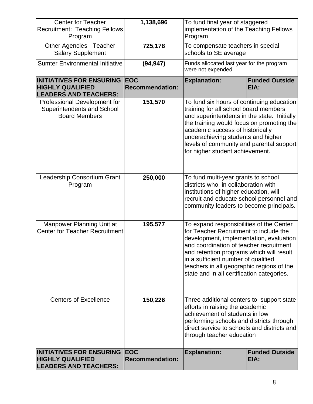| <b>Center for Teacher</b><br><b>Recruitment: Teaching Fellows</b><br>Program               | 1,138,696                            | To fund final year of staggered<br>implementation of the Teaching Fellows<br>Program                                                                                                                                                                                                                                                                   |                               |
|--------------------------------------------------------------------------------------------|--------------------------------------|--------------------------------------------------------------------------------------------------------------------------------------------------------------------------------------------------------------------------------------------------------------------------------------------------------------------------------------------------------|-------------------------------|
| <b>Other Agencies - Teacher</b><br><b>Salary Supplement</b>                                | 725,178                              | To compensate teachers in special<br>schools to SE average                                                                                                                                                                                                                                                                                             |                               |
| <b>Sumter Environmental Initiative</b>                                                     | (94, 947)                            | Funds allocated last year for the program<br>were not expended.                                                                                                                                                                                                                                                                                        |                               |
| <b>INITIATIVES FOR ENSURING</b><br><b>HIGHLY QUALIFIED</b><br><b>LEADERS AND TEACHERS:</b> | <b>EOC</b><br><b>Recommendation:</b> | <b>Explanation:</b>                                                                                                                                                                                                                                                                                                                                    | <b>Funded Outside</b><br>EIA: |
| Professional Development for<br>Superintendents and School<br><b>Board Members</b>         | 151,570                              | To fund six hours of continuing education<br>training for all school board members<br>and superintendents in the state. Initially<br>the training would focus on promoting the<br>academic success of historically<br>underachieving students and higher<br>levels of community and parental support<br>for higher student achievement.                |                               |
| Leadership Consortium Grant<br>Program                                                     | 250,000                              | To fund multi-year grants to school<br>districts who, in collaboration with<br>institutions of higher education, will<br>recruit and educate school personnel and<br>community leaders to become principals.                                                                                                                                           |                               |
| Manpower Planning Unit at<br><b>Center for Teacher Recruitment</b>                         | 195,577                              | To expand responsibilities of the Center<br>for Teacher Recruitment to include the<br>development, implementation, evaluation<br>and coordination of teacher recruitment<br>and retention programs which will result<br>in a sufficient number of qualified<br>teachers in all geographic regions of the<br>state and in all certification categories. |                               |
| <b>Centers of Excellence</b>                                                               | 150,226                              | Three additional centers to support state<br>efforts in raising the academic<br>achievement of students in low<br>performing schools and districts through<br>direct service to schools and districts and<br>through teacher education                                                                                                                 |                               |
| <b>INITIATIVES FOR ENSURING</b><br><b>HIGHLY QUALIFIED</b><br><b>LEADERS AND TEACHERS:</b> | <b>EOC</b><br><b>Recommendation:</b> | <b>Explanation:</b>                                                                                                                                                                                                                                                                                                                                    | <b>Funded Outside</b><br>EIA: |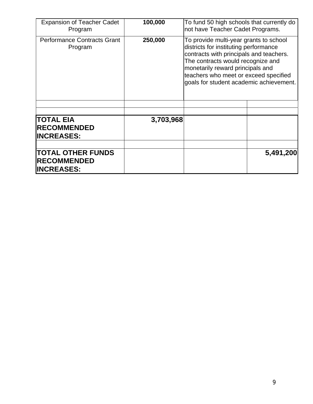| <b>Expansion of Teacher Cadet</b><br>Program                        | 100,000   | To fund 50 high schools that currently do<br>not have Teacher Cadet Programs.                                                                                                                                                                                                           |           |
|---------------------------------------------------------------------|-----------|-----------------------------------------------------------------------------------------------------------------------------------------------------------------------------------------------------------------------------------------------------------------------------------------|-----------|
| <b>Performance Contracts Grant</b><br>Program                       | 250,000   | To provide multi-year grants to school<br>districts for instituting performance<br>contracts with principals and teachers.<br>The contracts would recognize and<br>monetarily reward principals and<br>teachers who meet or exceed specified<br>goals for student academic achievement. |           |
|                                                                     |           |                                                                                                                                                                                                                                                                                         |           |
| <b>TOTAL EIA</b><br><b>RECOMMENDED</b><br><b>INCREASES:</b>         | 3,703,968 |                                                                                                                                                                                                                                                                                         |           |
| <b>TOTAL OTHER FUNDS</b><br><b>RECOMMENDED</b><br><b>INCREASES:</b> |           |                                                                                                                                                                                                                                                                                         | 5,491,200 |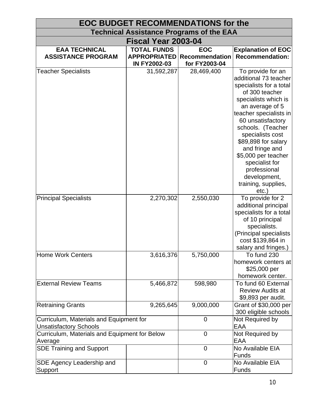| <b>EOC BUDGET RECOMMENDATIONS for the</b>                                |                                            |                                 |                                                                                                                                                                                                                                                                                                                                                                                 |
|--------------------------------------------------------------------------|--------------------------------------------|---------------------------------|---------------------------------------------------------------------------------------------------------------------------------------------------------------------------------------------------------------------------------------------------------------------------------------------------------------------------------------------------------------------------------|
| <b>Technical Assistance Programs of the EAA</b>                          |                                            |                                 |                                                                                                                                                                                                                                                                                                                                                                                 |
| Fiscal Year 2003-04                                                      |                                            |                                 |                                                                                                                                                                                                                                                                                                                                                                                 |
| <b>EAA TECHNICAL</b>                                                     | <b>TOTAL FUNDS</b>                         | <b>EOC</b>                      | <b>Explanation of EOC</b>                                                                                                                                                                                                                                                                                                                                                       |
| <b>ASSISTANCE PROGRAM</b>                                                | <b>APPROPRIATED</b><br><b>IN FY2002-03</b> | Recommendation<br>for FY2003-04 | <b>Recommendation:</b>                                                                                                                                                                                                                                                                                                                                                          |
| <b>Teacher Specialists</b>                                               | 31,592,287                                 | 28,469,400                      | To provide for an<br>additional 73 teacher<br>specialists for a total<br>of 300 teacher<br>specialists which is<br>an average of 5<br>teacher specialists in<br>60 unsatisfactory<br>schools. (Teacher<br>specialists cost<br>\$89,898 for salary<br>and fringe and<br>\$5,000 per teacher<br>specialist for<br>professional<br>development,<br>training, supplies,<br>$etc.$ ) |
| <b>Principal Specialists</b>                                             | 2,270,302                                  | 2,550,030                       | To provide for 2<br>additional principal<br>specialists for a total<br>of 10 principal<br>specialists.<br>(Principal specialists<br>cost \$139,864 in<br>salary and fringes.)                                                                                                                                                                                                   |
| <b>Home Work Centers</b>                                                 | 3,616,376                                  | 5,750,000                       | To fund 230<br>homework centers at<br>\$25,000 per<br>homework center.                                                                                                                                                                                                                                                                                                          |
| <b>External Review Teams</b>                                             | 5,466,872                                  | 598,980                         | To fund 60 External<br><b>Review Audits at</b><br>\$9,893 per audit.                                                                                                                                                                                                                                                                                                            |
| <b>Retraining Grants</b>                                                 | 9,265,645                                  | 9,000,000                       | Grant of \$30,000 per<br>300 eligible schools                                                                                                                                                                                                                                                                                                                                   |
| Curriculum, Materials and Equipment for<br><b>Unsatisfactory Schools</b> |                                            | $\overline{0}$                  | Not Required by<br>EAA                                                                                                                                                                                                                                                                                                                                                          |
| Curriculum, Materials and Equipment for Below<br>Average                 |                                            | $\overline{0}$                  | Not Required by<br>EAA                                                                                                                                                                                                                                                                                                                                                          |
| <b>SDE Training and Support</b>                                          |                                            | $\overline{0}$                  | No Available EIA<br><b>Funds</b>                                                                                                                                                                                                                                                                                                                                                |
| SDE Agency Leadership and<br>Support                                     |                                            | 0                               | No Available EIA<br>Funds                                                                                                                                                                                                                                                                                                                                                       |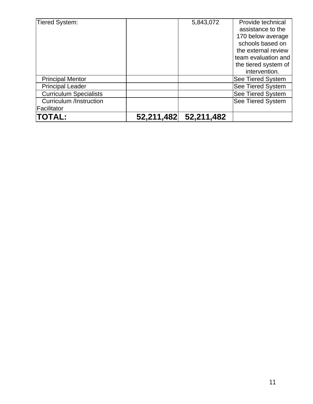| Tiered System:                 |            | 5,843,072  | Provide technical<br>assistance to the<br>170 below average<br>schools based on<br>the external review<br>team evaluation and |
|--------------------------------|------------|------------|-------------------------------------------------------------------------------------------------------------------------------|
|                                |            |            | the tiered system of<br>intervention.                                                                                         |
| <b>Principal Mentor</b>        |            |            | See Tiered System                                                                                                             |
| <b>Principal Leader</b>        |            |            | See Tiered System                                                                                                             |
| <b>Curriculum Specialists</b>  |            |            | <b>See Tiered System</b>                                                                                                      |
| <b>Curriculum /Instruction</b> |            |            | <b>See Tiered System</b>                                                                                                      |
| Facilitator                    |            |            |                                                                                                                               |
| <b>TOTAL:</b>                  | 52,211,482 | 52,211,482 |                                                                                                                               |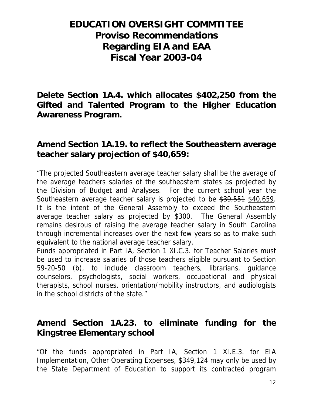# **EDUCATION OVERSIGHT COMMTITEE Proviso Recommendations Regarding EIA and EAA Fiscal Year 2003-04**

**Delete Section 1A.4. which allocates \$402,250 from the Gifted and Talented Program to the Higher Education Awareness Program.** 

#### **Amend Section 1A.19. to reflect the Southeastern average teacher salary projection of \$40,659:**

"The projected Southeastern average teacher salary shall be the average of the average teachers salaries of the southeastern states as projected by the Division of Budget and Analyses. For the current school year the Southeastern average teacher salary is projected to be \$39,551 \$40,659. It is the intent of the General Assembly to exceed the Southeastern average teacher salary as projected by \$300. The General Assembly remains desirous of raising the average teacher salary in South Carolina through incremental increases over the next few years so as to make such equivalent to the national average teacher salary.

Funds appropriated in Part IA, Section 1 XI.C.3. for Teacher Salaries must be used to increase salaries of those teachers eligible pursuant to Section 59-20-50 (b), to include classroom teachers, librarians, guidance counselors, psychologists, social workers, occupational and physical therapists, school nurses, orientation/mobility instructors, and audiologists in the school districts of the state."

### **Amend Section 1A.23. to eliminate funding for the Kingstree Elementary school**

"Of the funds appropriated in Part IA, Section 1 XI.E.3. for EIA Implementation, Other Operating Expenses, \$349,124 may only be used by the State Department of Education to support its contracted program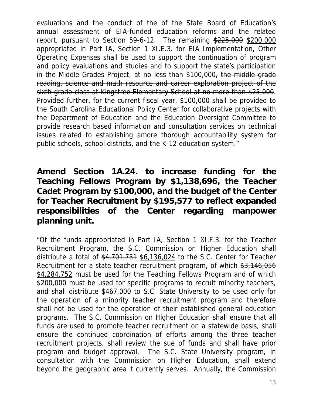evaluations and the conduct of the of the State Board of Education's annual assessment of EIA-funded education reforms and the related report, pursuant to Section 59-6-12. The remaining \$225,000 \$200,000 appropriated in Part IA, Section 1 XI.E.3. for EIA Implementation, Other Operating Expenses shall be used to support the continuation of program and policy evaluations and studies and to support the state's participation in the Middle Grades Project, at no less than \$100,000<del>, the middle grade</del> reading, science and math resource and career exploration project of the sixth grade class at Kingstree Elementary School at no more than \$25,000. Provided further, for the current fiscal year, \$100,000 shall be provided to the South Carolina Educational Policy Center for collaborative projects with the Department of Education and the Education Oversight Committee to provide research based information and consultation services on technical issues related to establishing amore thorough accountability system for public schools, school districts, and the K-12 education system."

### **Amend Section 1A.24. to increase funding for the Teaching Fellows Program by \$1,138,696, the Teacher Cadet Program by \$100,000, and the budget of the Center for Teacher Recruitment by \$195,577 to reflect expanded responsibilities of the Center regarding manpower planning unit.**

"Of the funds appropriated in Part IA, Section 1 XI.F.3. for the Teacher Recruitment Program, the S.C. Commission on Higher Education shall distribute a total of  $$4,701,751$   $$6,136,024$  to the S.C. Center for Teacher Recruitment for a state teacher recruitment program, of which \$3,146,056 \$4,284,752 must be used for the Teaching Fellows Program and of which \$200,000 must be used for specific programs to recruit minority teachers, and shall distribute \$467,000 to S.C. State University to be used only for the operation of a minority teacher recruitment program and therefore shall not be used for the operation of their established general education programs. The S.C. Commission on Higher Education shall ensure that all funds are used to promote teacher recruitment on a statewide basis, shall ensure the continued coordination of efforts among the three teacher recruitment projects, shall review the sue of funds and shall have prior program and budget approval. The S.C. State University program, in consultation with the Commission on Higher Education, shall extend beyond the geographic area it currently serves. Annually, the Commission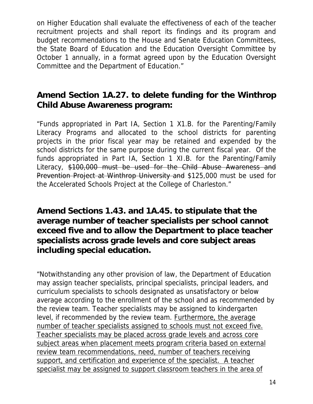on Higher Education shall evaluate the effectiveness of each of the teacher recruitment projects and shall report its findings and its program and budget recommendations to the House and Senate Education Committees, the State Board of Education and the Education Oversight Committee by October 1 annually, in a format agreed upon by the Education Oversight Committee and the Department of Education."

### **Amend Section 1A.27. to delete funding for the Winthrop Child Abuse Awareness program:**

"Funds appropriated in Part IA, Section 1 X1.B. for the Parenting/Family Literacy Programs and allocated to the school districts for parenting projects in the prior fiscal year may be retained and expended by the school districts for the same purpose during the current fiscal year. Of the funds appropriated in Part IA, Section 1 XI.B. for the Parenting/Family Literacy, \$100,000 must be used for the Child Abuse Awareness and Prevention Project at Winthrop University and \$125,000 must be used for the Accelerated Schools Project at the College of Charleston."

#### **Amend Sections 1.43. and 1A.45. to stipulate that the average number of teacher specialists per school cannot exceed five and to allow the Department to place teacher specialists across grade levels and core subject areas including special education.**

"Notwithstanding any other provision of law, the Department of Education may assign teacher specialists, principal specialists, principal leaders, and curriculum specialists to schools designated as unsatisfactory or below average according to the enrollment of the school and as recommended by the review team. Teacher specialists may be assigned to kindergarten level, if recommended by the review team. Furthermore, the average number of teacher specialists assigned to schools must not exceed five. Teacher specialists may be placed across grade levels and across core subject areas when placement meets program criteria based on external review team recommendations, need, number of teachers receiving support, and certification and experience of the specialist. A teacher specialist may be assigned to support classroom teachers in the area of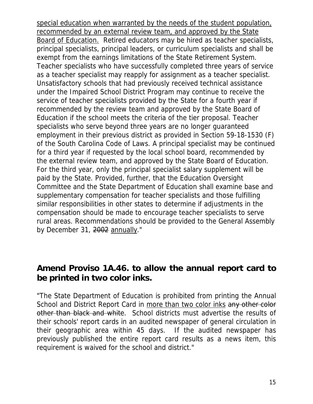special education when warranted by the needs of the student population, recommended by an external review team, and approved by the State Board of Education. Retired educators may be hired as teacher specialists, principal specialists, principal leaders, or curriculum specialists and shall be exempt from the earnings limitations of the State Retirement System. Teacher specialists who have successfully completed three years of service as a teacher specialist may reapply for assignment as a teacher specialist. Unsatisfactory schools that had previously received technical assistance under the Impaired School District Program may continue to receive the service of teacher specialists provided by the State for a fourth year if recommended by the review team and approved by the State Board of Education if the school meets the criteria of the tier proposal. Teacher specialists who serve beyond three years are no longer guaranteed employment in their previous district as provided in Section 59-18-1530 (F) of the South Carolina Code of Laws. A principal specialist may be continued for a third year if requested by the local school board, recommended by the external review team, and approved by the State Board of Education. For the third year, only the principal specialist salary supplement will be paid by the State. Provided, further, that the Education Oversight Committee and the State Department of Education shall examine base and supplementary compensation for teacher specialists and those fulfilling similar responsibilities in other states to determine if adjustments in the compensation should be made to encourage teacher specialists to serve rural areas. Recommendations should be provided to the General Assembly by December 31, 2002 annually."

#### **Amend Proviso 1A.46. to allow the annual report card to be printed in two color inks.**

"The State Department of Education is prohibited from printing the Annual School and District Report Card in more than two color inks any other color other than black and white. School districts must advertise the results of their schools' report cards in an audited newspaper of general circulation in their geographic area within 45 days. If the audited newspaper has previously published the entire report card results as a news item, this requirement is waived for the school and district."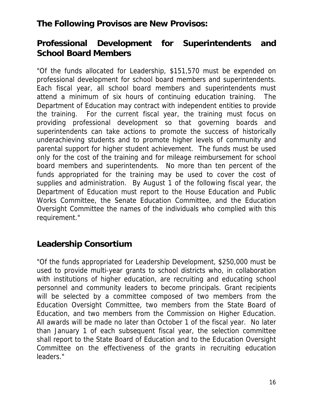#### **The Following Provisos are New Provisos:**

### **Professional Development for Superintendents and School Board Members**

"Of the funds allocated for Leadership, \$151,570 must be expended on professional development for school board members and superintendents. Each fiscal year, all school board members and superintendents must attend a minimum of six hours of continuing education training. The Department of Education may contract with independent entities to provide the training. For the current fiscal year, the training must focus on providing professional development so that governing boards and superintendents can take actions to promote the success of historically underachieving students and to promote higher levels of community and parental support for higher student achievement. The funds must be used only for the cost of the training and for mileage reimbursement for school board members and superintendents. No more than ten percent of the funds appropriated for the training may be used to cover the cost of supplies and administration. By August 1 of the following fiscal year, the Department of Education must report to the House Education and Public Works Committee, the Senate Education Committee, and the Education Oversight Committee the names of the individuals who complied with this requirement."

#### **Leadership Consortium**

"Of the funds appropriated for Leadership Development, \$250,000 must be used to provide multi-year grants to school districts who, in collaboration with institutions of higher education, are recruiting and educating school personnel and community leaders to become principals. Grant recipients will be selected by a committee composed of two members from the Education Oversight Committee, two members from the State Board of Education, and two members from the Commission on Higher Education. All awards will be made no later than October 1 of the fiscal year. No later than January 1 of each subsequent fiscal year, the selection committee shall report to the State Board of Education and to the Education Oversight Committee on the effectiveness of the grants in recruiting education leaders."